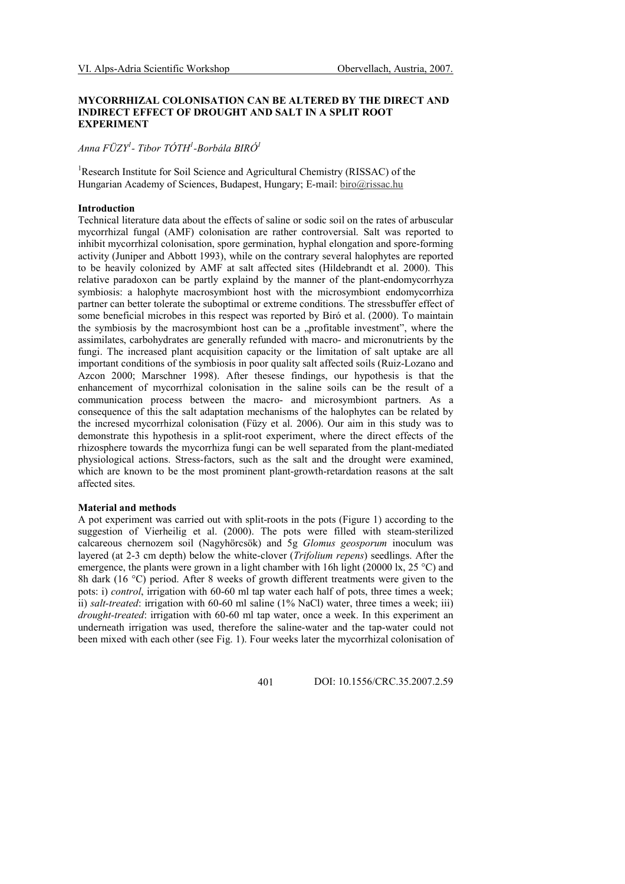## MYCORRHIZAL COLONISATION CAN BE ALTERED BY THE DIRECT AND INDIRECT EFFECT OF DROUGHT AND SALT IN A SPLIT ROOT EXPERIMENT

# Anna FÜZY $^{\mathit{l}}$ - Tibor TÓTH $^{\mathit{l}}$ -Borbála BIRÓ $^{\mathit{l}}$

<sup>1</sup>Research Institute for Soil Science and Agricultural Chemistry (RISSAC) of the Hungarian Academy of Sciences, Budapest, Hungary; E-mail: biro@rissac.hu

### Introduction

Technical literature data about the effects of saline or sodic soil on the rates of arbuscular mycorrhizal fungal (AMF) colonisation are rather controversial. Salt was reported to inhibit mycorrhizal colonisation, spore germination, hyphal elongation and spore-forming activity (Juniper and Abbott 1993), while on the contrary several halophytes are reported to be heavily colonized by AMF at salt affected sites (Hildebrandt et al. 2000). This relative paradoxon can be partly explaind by the manner of the plant-endomycorrhyza symbiosis: a halophyte macrosymbiont host with the microsymbiont endomycorrhiza partner can better tolerate the suboptimal or extreme conditions. The stressbuffer effect of some beneficial microbes in this respect was reported by Biró et al. (2000). To maintain the symbiosis by the macrosymbiont host can be a "profitable investment", where the assimilates, carbohydrates are generally refunded with macro- and micronutrients by the fungi. The increased plant acquisition capacity or the limitation of salt uptake are all important conditions of the symbiosis in poor quality salt affected soils (Ruiz-Lozano and Azcon 2000; Marschner 1998). After thesese findings, our hypothesis is that the enhancement of mycorrhizal colonisation in the saline soils can be the result of a communication process between the macro- and microsymbiont partners. As a consequence of this the salt adaptation mechanisms of the halophytes can be related by the incresed mycorrhizal colonisation (Füzy et al. 2006). Our aim in this study was to demonstrate this hypothesis in a split-root experiment, where the direct effects of the rhizosphere towards the mycorrhiza fungi can be well separated from the plant-mediated physiological actions. Stress-factors, such as the salt and the drought were examined, which are known to be the most prominent plant-growth-retardation reasons at the salt affected sites.

### Material and methods

A pot experiment was carried out with split-roots in the pots (Figure 1) according to the suggestion of Vierheilig et al. (2000). The pots were filled with steam-sterilized calcareous chernozem soil (Nagyhörcsök) and 5g Glomus geosporum inoculum was layered (at 2-3 cm depth) below the white-clover (Trifolium repens) seedlings. After the emergence, the plants were grown in a light chamber with 16h light (20000 lx, 25 °C) and 8h dark (16 °C) period. After 8 weeks of growth different treatments were given to the pots: i) control, irrigation with 60-60 ml tap water each half of pots, three times a week; ii) salt-treated: irrigation with 60-60 ml saline (1% NaCl) water, three times a week; iii) drought-treated: irrigation with 60-60 ml tap water, once a week. In this experiment an underneath irrigation was used, therefore the saline-water and the tap-water could not been mixed with each other (see Fig. 1). Four weeks later the mycorrhizal colonisation of

401 DOI: 10.1556/CRC.35.2007.2.59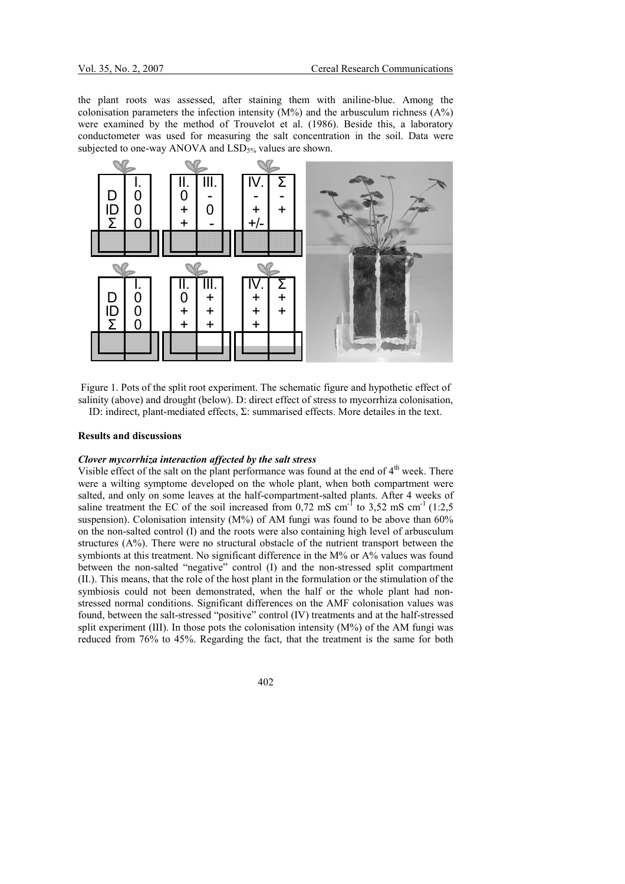the plant roots was assessed, after staining them with aniline-blue. Among the colonisation parameters the infection intensity  $(M\%)$  and the arbusculum richness  $(A\%)$ were examined by the method of Trouvelot et al. (1986). Beside this, a laboratory conductometer was used for measuring the salt concentration in the soil. Data were subjected to one-way ANOVA and  $LSD<sub>5%</sub>$  values are shown.



Figure 1. Pots of the split root experiment. The schematic figure and hypothetic effect of salinity (above) and drought (below). D: direct effect of stress to mycorrhiza colonisation, ID: indirect, plant-mediated effects, Σ: summarised effects. More detailes in the text.

#### Results and discussions

### Clover mycorrhiza interaction affected by the salt stress

Visible effect of the salt on the plant performance was found at the end of  $4<sup>th</sup>$  week. There were a wilting symptome developed on the whole plant, when both compartment were salted, and only on some leaves at the half-compartment-salted plants. After 4 weeks of saline treatment the EC of the soil increased from 0,72 mS cm<sup>-1</sup> to 3,52 mS cm<sup>-1</sup> (1:2,5) suspension). Colonisation intensity ( $M\%$ ) of AM fungi was found to be above than 60% on the non-salted control (I) and the roots were also containing high level of arbusculum structures  $(A\%)$ . There were no structural obstacle of the nutrient transport between the symbionts at this treatment. No significant difference in the M% or A% values was found between the non-salted "negative" control (I) and the non-stressed split compartment (II.). This means, that the role of the host plant in the formulation or the stimulation of the symbiosis could not been demonstrated, when the half or the whole plant had nonstressed normal conditions. Significant differences on the AMF colonisation values was found, between the salt-stressed "positive" control (IV) treatments and at the half-stressed split experiment (III). In those pots the colonisation intensity  $(M\%)$  of the AM fungi was reduced from 76% to 45%. Regarding the fact, that the treatment is the same for both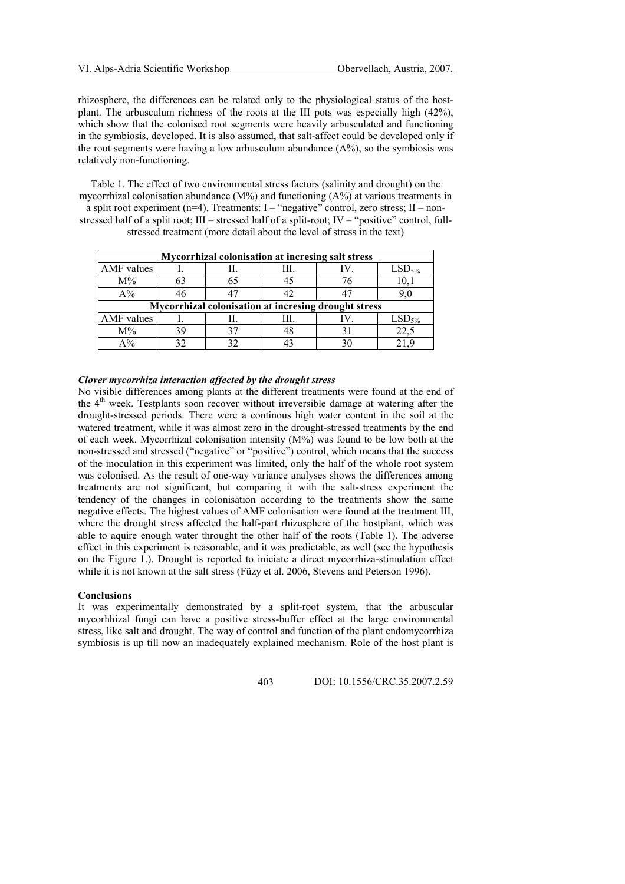rhizosphere, the differences can be related only to the physiological status of the hostplant. The arbusculum richness of the roots at the III pots was especially high (42%), which show that the colonised root segments were heavily arbusculated and functioning in the symbiosis, developed. It is also assumed, that salt-affect could be developed only if the root segments were having a low arbusculum abundance (A%), so the symbiosis was relatively non-functioning.

Table 1. The effect of two environmental stress factors (salinity and drought) on the mycorrhizal colonisation abundance (M%) and functioning (A%) at various treatments in a split root experiment (n=4). Treatments: I – "negative" control, zero stress; II – nonstressed half of a split root; III – stressed half of a split-root; IV – "positive" control, fullstressed treatment (more detail about the level of stress in the text)

| Mycorrhizal colonisation at incresing salt stress    |    |    |    |  |                   |
|------------------------------------------------------|----|----|----|--|-------------------|
| AMF values                                           |    |    | Ш. |  | LSD <sub>5%</sub> |
| $M\%$                                                | 63 | 65 |    |  | 10,1              |
| $A\%$                                                | 46 |    | 42 |  | 9.0               |
| Mycorrhizal colonisation at incresing drought stress |    |    |    |  |                   |
|                                                      |    |    |    |  |                   |
| AMF values                                           |    |    | Ш. |  | LSD <sub>5%</sub> |
| $M\%$                                                | 39 |    | 48 |  | 22.5              |

Clover mycorrhiza interaction affected by the drought stress

No visible differences among plants at the different treatments were found at the end of the  $4<sup>th</sup>$  week. Testplants soon recover without irreversible damage at watering after the drought-stressed periods. There were a continous high water content in the soil at the watered treatment, while it was almost zero in the drought-stressed treatments by the end of each week. Mycorrhizal colonisation intensity  $(M\%)$  was found to be low both at the non-stressed and stressed ("negative" or "positive") control, which means that the success of the inoculation in this experiment was limited, only the half of the whole root system was colonised. As the result of one-way variance analyses shows the differences among treatments are not significant, but comparing it with the salt-stress experiment the tendency of the changes in colonisation according to the treatments show the same negative effects. The highest values of AMF colonisation were found at the treatment III, where the drought stress affected the half-part rhizosphere of the hostplant, which was able to aquire enough water throught the other half of the roots (Table 1). The adverse effect in this experiment is reasonable, and it was predictable, as well (see the hypothesis on the Figure 1.). Drought is reported to iniciate a direct mycorrhiza-stimulation effect while it is not known at the salt stress (Füzy et al. 2006, Stevens and Peterson 1996).

# Conclusions

It was experimentally demonstrated by a split-root system, that the arbuscular mycorhhizal fungi can have a positive stress-buffer effect at the large environmental stress, like salt and drought. The way of control and function of the plant endomycorrhiza symbiosis is up till now an inadequately explained mechanism. Role of the host plant is

403 DOI: 10.1556/CRC.35.2007.2.59